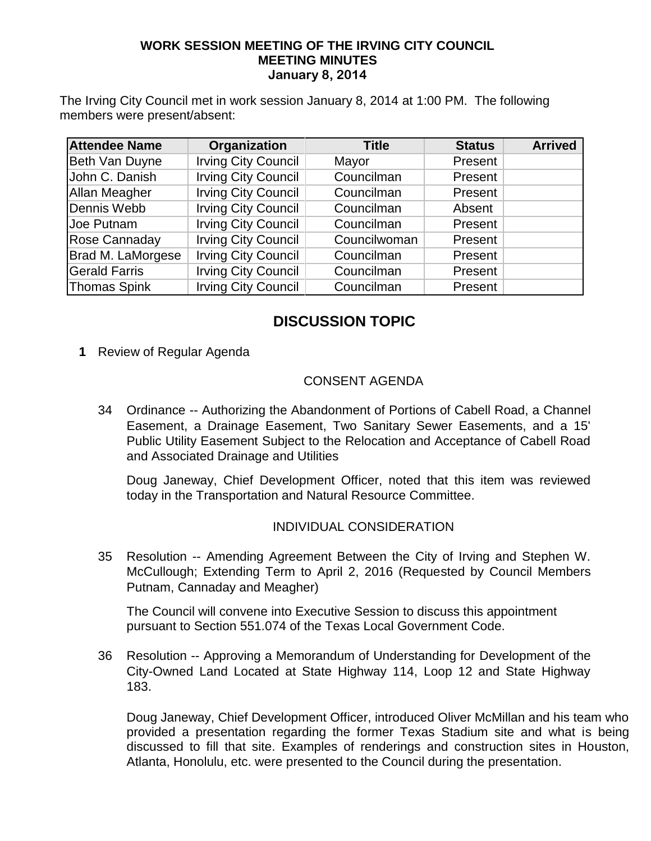#### **WORK SESSION MEETING OF THE IRVING CITY COUNCIL MEETING MINUTES January 8, 2014**

The Irving City Council met in work session January 8, 2014 at 1:00 PM. The following members were present/absent:

| <b>Attendee Name</b> | Organization               | <b>Title</b> | <b>Status</b> | <b>Arrived</b> |
|----------------------|----------------------------|--------------|---------------|----------------|
| Beth Van Duyne       | <b>Irving City Council</b> | Mayor        | Present       |                |
| John C. Danish       | <b>Irving City Council</b> | Councilman   | Present       |                |
| <b>Allan Meagher</b> | <b>Irving City Council</b> | Councilman   | Present       |                |
| Dennis Webb          | <b>Irving City Council</b> | Councilman   | Absent        |                |
| Joe Putnam           | <b>Irving City Council</b> | Councilman   | Present       |                |
| Rose Cannaday        | <b>Irving City Council</b> | Councilwoman | Present       |                |
| Brad M. LaMorgese    | <b>Irving City Council</b> | Councilman   | Present       |                |
| <b>Gerald Farris</b> | <b>Irving City Council</b> | Councilman   | Present       |                |
| Thomas Spink         | <b>Irving City Council</b> | Councilman   | Present       |                |

# **DISCUSSION TOPIC**

**1** Review of Regular Agenda

### CONSENT AGENDA

34 Ordinance -- Authorizing the Abandonment of Portions of Cabell Road, a Channel Easement, a Drainage Easement, Two Sanitary Sewer Easements, and a 15' Public Utility Easement Subject to the Relocation and Acceptance of Cabell Road and Associated Drainage and Utilities

Doug Janeway, Chief Development Officer, noted that this item was reviewed today in the Transportation and Natural Resource Committee.

#### INDIVIDUAL CONSIDERATION

35 Resolution -- Amending Agreement Between the City of Irving and Stephen W. McCullough; Extending Term to April 2, 2016 (Requested by Council Members Putnam, Cannaday and Meagher)

The Council will convene into Executive Session to discuss this appointment pursuant to Section 551.074 of the Texas Local Government Code.

36 Resolution -- Approving a Memorandum of Understanding for Development of the City-Owned Land Located at State Highway 114, Loop 12 and State Highway 183.

Doug Janeway, Chief Development Officer, introduced Oliver McMillan and his team who provided a presentation regarding the former Texas Stadium site and what is being discussed to fill that site. Examples of renderings and construction sites in Houston, Atlanta, Honolulu, etc. were presented to the Council during the presentation.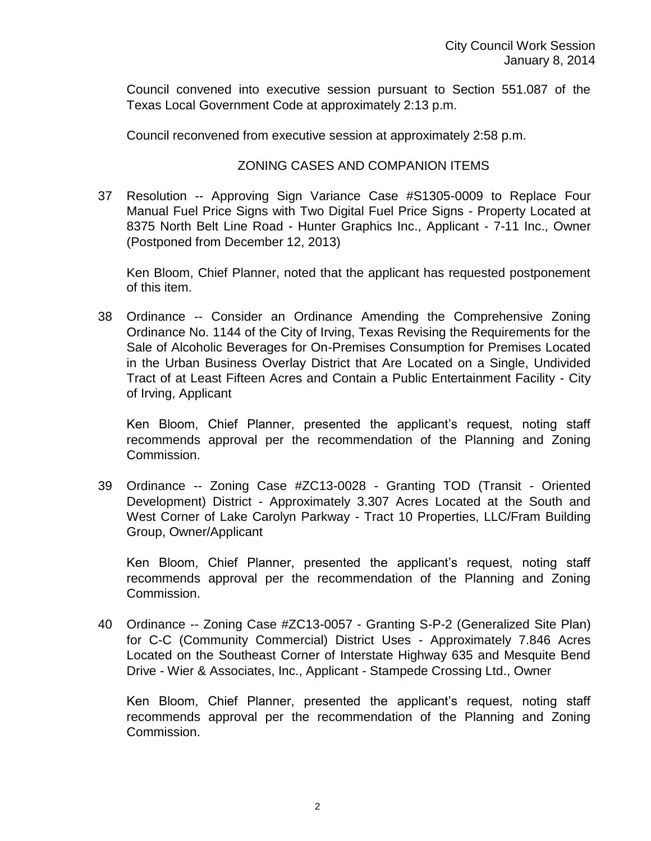Council convened into executive session pursuant to Section 551.087 of the Texas Local Government Code at approximately 2:13 p.m.

Council reconvened from executive session at approximately 2:58 p.m.

#### ZONING CASES AND COMPANION ITEMS

37 Resolution -- Approving Sign Variance Case #S1305-0009 to Replace Four Manual Fuel Price Signs with Two Digital Fuel Price Signs - Property Located at 8375 North Belt Line Road - Hunter Graphics Inc., Applicant - 7-11 Inc., Owner (Postponed from December 12, 2013)

Ken Bloom, Chief Planner, noted that the applicant has requested postponement of this item.

38 Ordinance -- Consider an Ordinance Amending the Comprehensive Zoning Ordinance No. 1144 of the City of Irving, Texas Revising the Requirements for the Sale of Alcoholic Beverages for On-Premises Consumption for Premises Located in the Urban Business Overlay District that Are Located on a Single, Undivided Tract of at Least Fifteen Acres and Contain a Public Entertainment Facility - City of Irving, Applicant

Ken Bloom, Chief Planner, presented the applicant's request, noting staff recommends approval per the recommendation of the Planning and Zoning Commission.

39 Ordinance -- Zoning Case #ZC13-0028 - Granting TOD (Transit - Oriented Development) District - Approximately 3.307 Acres Located at the South and West Corner of Lake Carolyn Parkway - Tract 10 Properties, LLC/Fram Building Group, Owner/Applicant

Ken Bloom, Chief Planner, presented the applicant's request, noting staff recommends approval per the recommendation of the Planning and Zoning Commission.

40 Ordinance -- Zoning Case #ZC13-0057 - Granting S-P-2 (Generalized Site Plan) for C-C (Community Commercial) District Uses - Approximately 7.846 Acres Located on the Southeast Corner of Interstate Highway 635 and Mesquite Bend Drive - Wier & Associates, Inc., Applicant - Stampede Crossing Ltd., Owner

Ken Bloom, Chief Planner, presented the applicant's request, noting staff recommends approval per the recommendation of the Planning and Zoning Commission.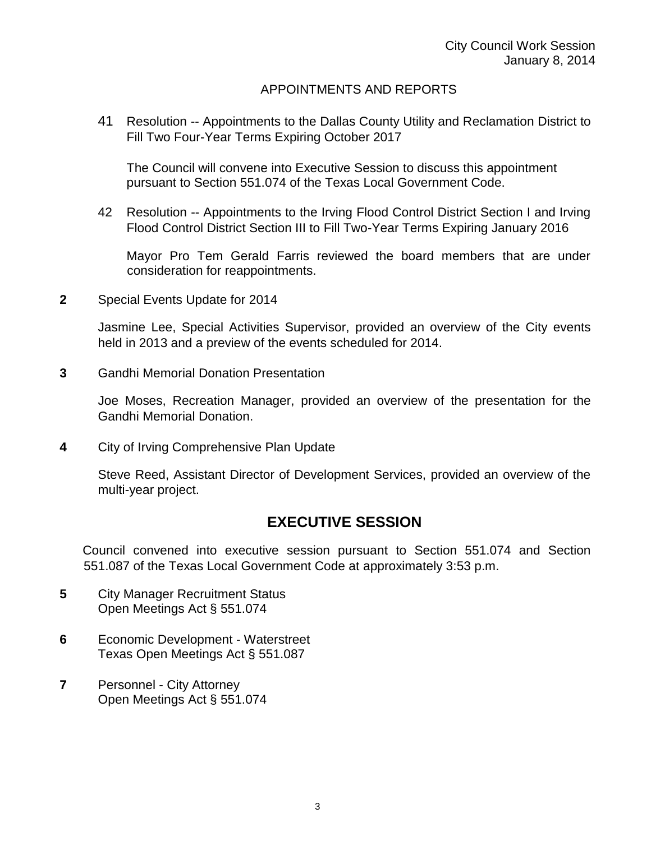## APPOINTMENTS AND REPORTS

41 Resolution -- Appointments to the Dallas County Utility and Reclamation District to Fill Two Four-Year Terms Expiring October 2017

The Council will convene into Executive Session to discuss this appointment pursuant to Section 551.074 of the Texas Local Government Code.

42 Resolution -- Appointments to the Irving Flood Control District Section I and Irving Flood Control District Section III to Fill Two-Year Terms Expiring January 2016

Mayor Pro Tem Gerald Farris reviewed the board members that are under consideration for reappointments.

**2** Special Events Update for 2014

Jasmine Lee, Special Activities Supervisor, provided an overview of the City events held in 2013 and a preview of the events scheduled for 2014.

**3** Gandhi Memorial Donation Presentation

Joe Moses, Recreation Manager, provided an overview of the presentation for the Gandhi Memorial Donation.

**4** City of Irving Comprehensive Plan Update

Steve Reed, Assistant Director of Development Services, provided an overview of the multi-year project.

# **EXECUTIVE SESSION**

Council convened into executive session pursuant to Section 551.074 and Section 551.087 of the Texas Local Government Code at approximately 3:53 p.m.

- **5** City Manager Recruitment Status Open Meetings Act § 551.074
- **6** Economic Development Waterstreet Texas Open Meetings Act § 551.087
- **7** Personnel City Attorney Open Meetings Act § 551.074